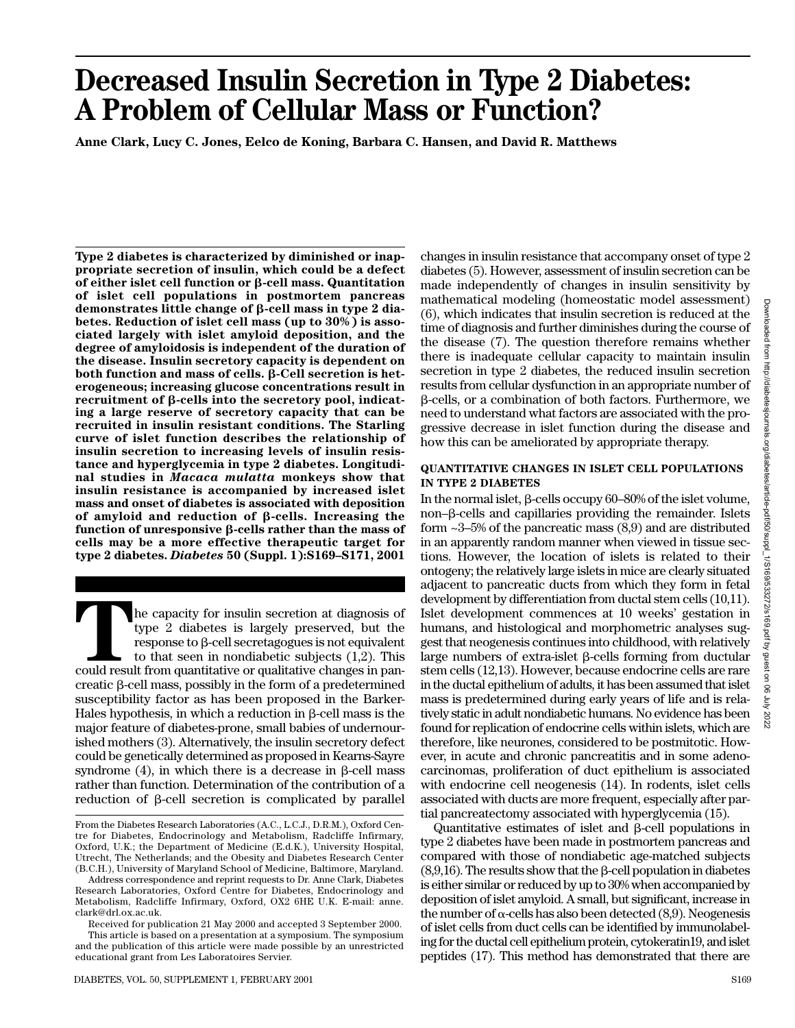# **Decreased Insulin Secretion in Type 2 Diabetes: A Problem of Cellular Mass or Function?**

**Anne Clark, Lucy C. Jones, Eelco de Koning, Barbara C. Hansen, and David R. Matthews**

**Type 2 diabetes is characterized by diminished or inappropriate secretion of insulin, which could be a defect of either islet cell function or β-cell mass. Quantitation of islet cell populations in postmortem pancreas** demonstrates little change of β-cell mass in type 2 dia**betes. Reduction of islet cell mass (up to 30%) is associated largely with islet amyloid deposition, and the degree of amyloidosis is independent of the duration of the disease. Insulin secretory capacity is dependent on both function and mass of cells. β-Cell secretion is heterogeneous; increasing glucose concentrations result in** recruitment of β-cells into the secretory pool, indicat**ing a large reserve of secretory capacity that can be recruited in insulin resistant conditions. The Starling curve of islet function describes the relationship of insulin secretion to increasing levels of insulin resistance and hyperglycemia in type 2 diabetes. Longitudinal studies in** *Macaca mulatta* **monkeys show that insulin resistance is accompanied by increased islet mass and onset of diabetes is associated with deposition** of amyloid and reduction of  $\beta$ -cells. Increasing the function of unresponsive β-cells rather than the mass of **cells may be a more effective therapeutic target for type 2 diabetes.** *Diabetes* **50 (Suppl. 1):S169–S171, 2001**

The capacity for insulin secretion at diagnosis of type 2 diabetes is largely preserved, but the response to  $\beta$ -cell secretagogues is not equivalent to that seen in nondiabetic subjects  $(1,2)$ . This could result from q type 2 diabetes is largely preserved, but the response to β-cell secretagogues is not equivalent to that seen in nondiabetic subjects (1,2). This  $c$ reatic  $\beta$ -cell mass, possibly in the form of a predetermined susceptibility factor as has been proposed in the Barker-Hales hypothesis, in which a reduction in  $\beta$ -cell mass is the major feature of diabetes-prone, small babies of undernourished mothers (3). Alternatively, the insulin secretory defect could be genetically determined as proposed in Kearns-Sayre syndrome  $(4)$ , in which there is a decrease in  $\beta$ -cell mass rather than function. Determination of the contribution of a reduction of  $\beta$ -cell secretion is complicated by parallel

Received for publication 21 May 2000 and accepted 3 September 2000. This article is based on a presentation at a symposium. The symposium and the publication of this article were made possible by an unrestricted educational grant from Les Laboratoires Servier.

changes in insulin resistance that accompany onset of type 2 diabetes (5). However, assessment of insulin secretion can be made independently of changes in insulin sensitivity by mathematical modeling (homeostatic model assessment) (6), which indicates that insulin secretion is reduced at the time of diagnosis and further diminishes during the course of the disease (7). The question therefore remains whether there is inadequate cellular capacity to maintain insulin secretion in type 2 diabetes, the reduced insulin secretion results from cellular dysfunction in an appropriate number of β-cells, or a combination of both factors. Furthermore, we need to understand what factors are associated with the progressive decrease in islet function during the disease and how this can be ameliorated by appropriate therapy.

### **QUANTITATIVE CHANGES IN ISLET CELL POPULATIONS IN TYPE 2 DIABETES**

In the normal islet,  $\beta$ -cells occupy 60–80% of the islet volume, non-β-cells and capillaries providing the remainder. Islets form ~3–5% of the pancreatic mass (8,9) and are distributed in an apparently random manner when viewed in tissue sections. However, the location of islets is related to their ontogeny; the relatively large islets in mice are clearly situated adjacent to pancreatic ducts from which they form in fetal development by differentiation from ductal stem cells (10,11). Islet development commences at 10 weeks' gestation in humans, and histological and morphometric analyses suggest that neogenesis continues into childhood, with relatively large numbers of extra-islet  $\beta$ -cells forming from ductular stem cells (12,13). However, because endocrine cells are rare in the ductal epithelium of adults, it has been assumed that islet mass is predetermined during early years of life and is relatively static in adult nondiabetic humans. No evidence has been found for replication of endocrine cells within islets, which are therefore, like neurones, considered to be postmitotic. However, in acute and chronic pancreatitis and in some adenocarcinomas, proliferation of duct epithelium is associated with endocrine cell neogenesis (14). In rodents, islet cells associated with ducts are more frequent, especially after partial pancreatectomy associated with hyperglycemia (15).

Quantitative estimates of islet and  $\beta$ -cell populations in type 2 diabetes have been made in postmortem pancreas and compared with those of nondiabetic age-matched subjects  $(8,9,16)$ . The results show that the  $\beta$ -cell population in diabetes is either similar or reduced by up to 30% when accompanied by deposition of islet amyloid. A small, but significant, increase in the number of  $\alpha$ -cells has also been detected (8,9). Neogenesis of islet cells from duct cells can be identified by immunolabeling for the ductal cell epithelium protein, cytokeratin19, and islet peptides (17). This method has demonstrated that there are

From the Diabetes Research Laboratories (A.C., L.C.J., D.R.M.), Oxford Centre for Diabetes, Endocrinology and Metabolism, Radcliffe Infirmary, Oxford, U.K.; the Department of Medicine (E.d.K.), University Hospital, Utrecht, The Netherlands; and the Obesity and Diabetes Research Center (B.C.H.), University of Maryland School of Medicine, Baltimore, Maryland.

Address correspondence and reprint requests to Dr. Anne Clark, Diabetes Research Laboratories, Oxford Centre for Diabetes, Endocrinology and Metabolism, Radcliffe Infirmary, Oxford, OX2 6HE U.K. E-mail: anne. clark@drl.ox.ac.uk.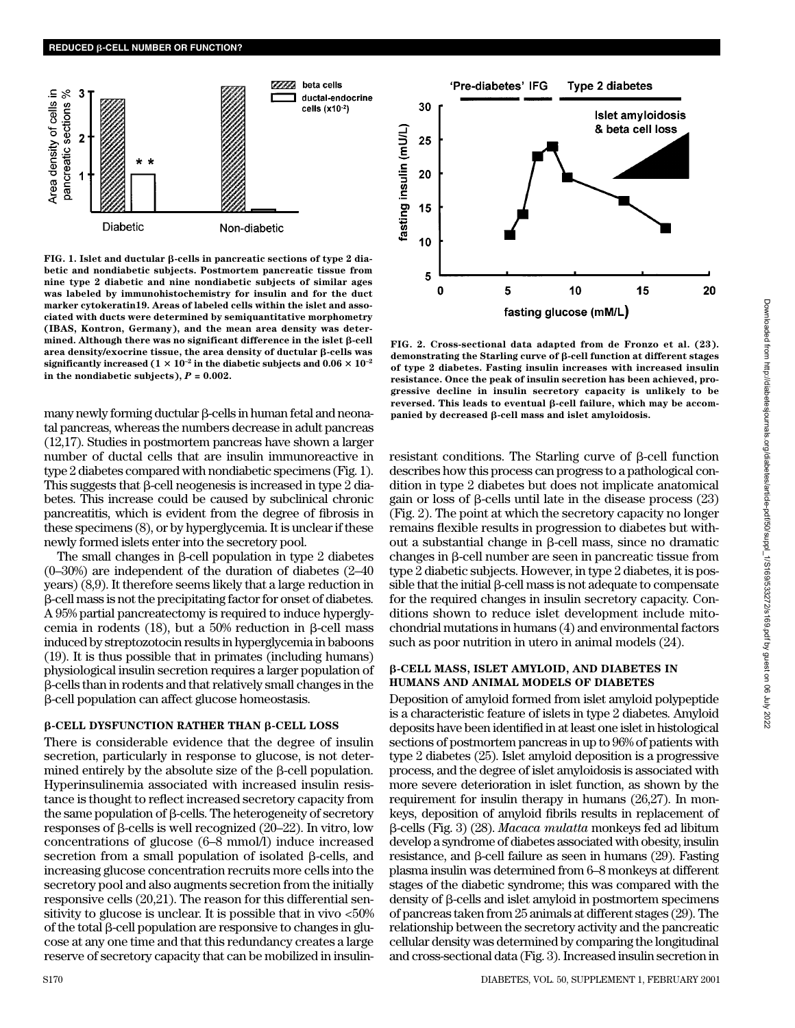

**FIG. 1. Islet and ductular β-cells in pancreatic sections of type 2 diabetic and nondiabetic subjects. Postmortem pancreatic tissue from nine type 2 diabetic and nine nondiabetic subjects of similar ages was labeled by immunohistochemistry for insulin and for the duct marker cytokeratin19. Areas of labeled cells within the islet and associated with ducts were determined by semiquantitative morphometry (IBAS, Kontron, Germany), and the mean area density was deter**mined. Although there was no significant difference in the islet β-cell area density/exocrine tissue, the area density of ductular **ß-cells** was significantly increased  $(1 \times 10^{-2} \text{ in the diabetic subjects and } 0.06 \times 10^{-2} \text{ m}$ in the nondiabetic subjects),  $P = 0.002$ .

many newly forming ductular  $\beta$ -cells in human fetal and neonatal pancreas, whereas the numbers decrease in adult pancreas (12,17). Studies in postmortem pancreas have shown a larger number of ductal cells that are insulin immunoreactive in type 2 diabetes compared with nondiabetic specimens (Fig. 1). This suggests that  $\beta$ -cell neogenesis is increased in type  $2$  diabetes. This increase could be caused by subclinical chronic pancreatitis, which is evident from the degree of fibrosis in these specimens (8), or by hyperglycemia. It is unclear if these newly formed islets enter into the secretory pool.

The small changes in  $\beta$ -cell population in type 2 diabetes (0–30%) are independent of the duration of diabetes (2–40 years) (8,9). It therefore seems likely that a large reduction in --cell mass is not the precipitating factor for onset of diabetes. A 95% partial pancreatectomy is required to induce hyperglycemia in rodents  $(18)$ , but a 50% reduction in  $\beta$ -cell mass induced by streptozotocin results in hyperglycemia in baboons (19). It is thus possible that in primates (including humans) physiological insulin secretion requires a larger population of --cells than in rodents and that relatively small changes in the --cell population can affect glucose homeostasis.

#### β-CELL DYSFUNCTION RATHER THAN β-CELL LOSS

There is considerable evidence that the degree of insulin secretion, particularly in response to glucose, is not determined entirely by the absolute size of the  $\beta$ -cell population. Hyperinsulinemia associated with increased insulin resistance is thought to reflect increased secretory capacity from the same population of  $\beta$ -cells. The heterogeneity of secretory responses of  $\beta$ -cells is well recognized (20–22). In vitro, low concentrations of glucose (6–8 mmol/l) induce increased secretion from a small population of isolated  $\beta$ -cells, and increasing glucose concentration recruits more cells into the secretory pool and also augments secretion from the initially responsive cells (20,21). The reason for this differential sensitivity to glucose is unclear. It is possible that in vivo <50% of the total  $\beta$ -cell population are responsive to changes in glucose at any one time and that this redundancy creates a large reserve of secretory capacity that can be mobilized in insulin-



**FIG. 2. Cross-sectional data adapted from de Fronzo et al. (23).** demonstrating the Starling curve of β-cell function at different stages **of type 2 diabetes. Fasting insulin increases with increased insulin resistance. Once the peak of insulin secretion has been achieved, progressive decline in insulin secretory capacity is unlikely to be** reversed. This leads to eventual β-cell failure, which may be accom**panied by decreased β-cell mass and islet amyloidosis.** 

 $resistant$  conditions. The Starling curve of  $\beta$ -cell function describes how this process can progress to a pathological condition in type 2 diabetes but does not implicate anatomical gain or loss of  $\beta$ -cells until late in the disease process  $(23)$ (Fig. 2). The point at which the secretory capacity no longer remains flexible results in progression to diabetes but without a substantial change in  $\beta$ -cell mass, since no dramatic  $changes$  in  $\beta$ -cell number are seen in pancreatic tissue from type 2 diabetic subjects. However, in type 2 diabetes, it is pos $sible$  that the initial  $\beta$ -cell mass is not adequate to compensate for the required changes in insulin secretory capacity. Conditions shown to reduce islet development include mitochondrial mutations in humans (4) and environmental factors such as poor nutrition in utero in animal models (24).

#### -**-CELL MASS, ISLET AMYLOID, AND DIABETES IN HUMANS AND ANIMAL MODELS OF DIABETES**

Deposition of amyloid formed from islet amyloid polypeptide is a characteristic feature of islets in type 2 diabetes. Amyloid deposits have been identified in at least one islet in histological sections of postmortem pancreas in up to 96% of patients with type 2 diabetes (25). Islet amyloid deposition is a progressive process, and the degree of islet amyloidosis is associated with more severe deterioration in islet function, as shown by the requirement for insulin therapy in humans (26,27). In monkeys, deposition of amyloid fibrils results in replacement of --cells (Fig. 3) (28). *Macaca mulatta* monkeys fed ad libitum develop a syndrome of diabetes associated with obesity, insulin  $resistance$ , and  $\beta$ -cell failure as seen in humans (29). Fasting plasma insulin was determined from 6–8 monkeys at different stages of the diabetic syndrome; this was compared with the density of  $\beta$ -cells and islet amyloid in postmortem specimens of pancreas taken from 25 animals at different stages (29). The relationship between the secretory activity and the pancreatic cellular density was determined by comparing the longitudinal and cross-sectional data (Fig. 3). Increased insulin secretion in